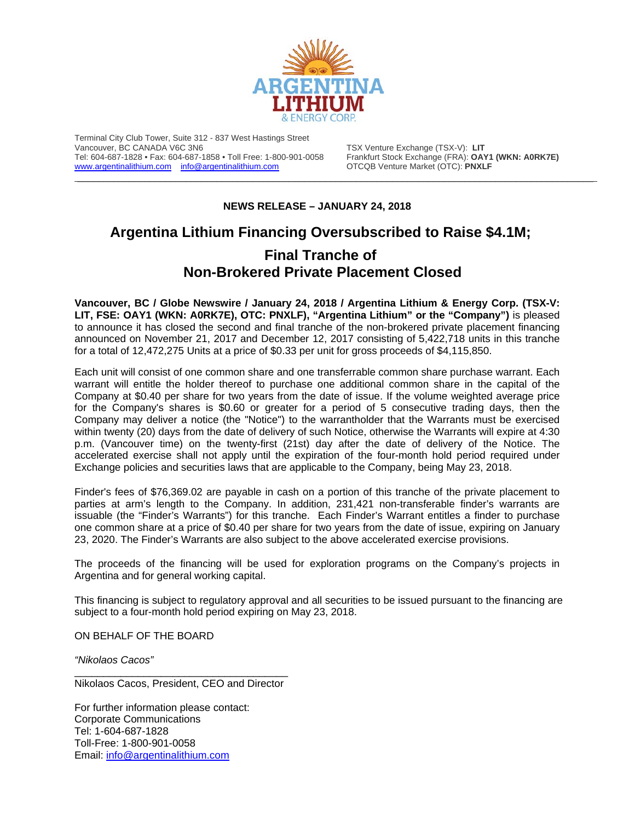

Terminal City Club Tower, Suite 312 - 837 West Hastings Street Vancouver, BC CANADA V6C 3N6<br>Tel: 604-687-1828 • Fax: 604-687-1858 • Toll Free: 1-800-901-0058 Frankfurt Stock Exchange (FRA): **OA** [www.argentinalithium.com](http://www.argentinalithium.com/) [info@argentinalithium.com](mailto:info@argentinalithium.com)

Frankfurt Stock Exchange (FRA): **OAY1 (WKN: A0RK7E)**<br>OTCQB Venture Market (OTC): **PNXLF** 

## **NEWS RELEASE – JANUARY 24, 2018**

\_\_\_\_\_\_\_\_\_\_\_\_\_\_\_\_\_\_\_\_\_\_\_\_\_\_\_\_\_\_\_\_\_\_\_\_\_\_\_\_\_\_\_\_\_\_\_\_\_\_\_\_\_\_\_\_\_\_\_\_\_\_\_\_\_\_\_\_\_\_\_\_\_\_\_\_\_\_\_\_\_\_\_\_\_\_\_\_\_\_\_\_\_\_\_\_\_\_\_\_

## **Argentina Lithium Financing Oversubscribed to Raise \$4.1M; Final Tranche of Non-Brokered Private Placement Closed**

**Vancouver, BC / Globe Newswire / January 24, 2018 / Argentina Lithium & Energy Corp. (TSX-V: LIT, FSE: OAY1 (WKN: A0RK7E), OTC: PNXLF), "Argentina Lithium" or the "Company")** is pleased to announce it has closed the second and final tranche of the non-brokered private placement financing announced on November 21, 2017 and December 12, 2017 consisting of 5,422,718 units in this tranche for a total of 12,472,275 Units at a price of \$0.33 per unit for gross proceeds of \$4,115,850.

Each unit will consist of one common share and one transferrable common share purchase warrant. Each warrant will entitle the holder thereof to purchase one additional common share in the capital of the Company at \$0.40 per share for two years from the date of issue. If the volume weighted average price for the Company's shares is \$0.60 or greater for a period of 5 consecutive trading days, then the Company may deliver a notice (the "Notice") to the warrantholder that the Warrants must be exercised within twenty (20) days from the date of delivery of such Notice, otherwise the Warrants will expire at 4:30 p.m. (Vancouver time) on the twenty-first (21st) day after the date of delivery of the Notice. The accelerated exercise shall not apply until the expiration of the four-month hold period required under Exchange policies and securities laws that are applicable to the Company, being May 23, 2018.

Finder's fees of \$76,369.02 are payable in cash on a portion of this tranche of the private placement to parties at arm's length to the Company. In addition, 231,421 non-transferable finder's warrants are issuable (the "Finder's Warrants") for this tranche. Each Finder's Warrant entitles a finder to purchase one common share at a price of \$0.40 per share for two years from the date of issue, expiring on January 23, 2020. The Finder's Warrants are also subject to the above accelerated exercise provisions.

The proceeds of the financing will be used for exploration programs on the Company's projects in Argentina and for general working capital.

This financing is subject to regulatory approval and all securities to be issued pursuant to the financing are subject to a four-month hold period expiring on May 23, 2018.

ON BEHALF OF THE BOARD

*"Nikolaos Cacos"*

\_\_\_\_\_\_\_\_\_\_\_\_\_\_\_\_\_\_\_\_\_\_\_\_\_\_\_\_\_\_\_\_\_\_\_\_\_ Nikolaos Cacos, President, CEO and Director

For further information please contact: Corporate Communications Tel: 1-604-687-1828 Toll-Free: 1-800-901-0058 Email: [info@argentinalithium.com](mailto:info@argentinalithium.com)